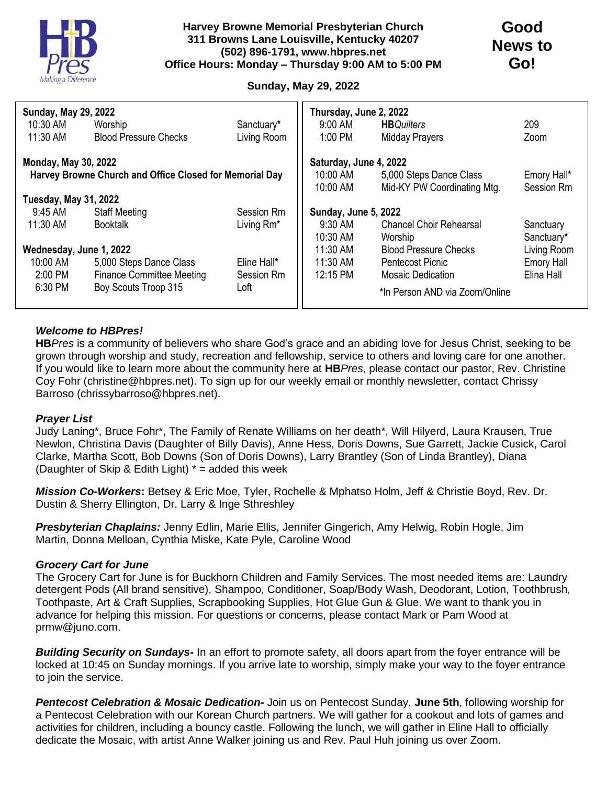

## **Sunday, May 29, 2022**

| <b>Sunday, May 29, 2022</b>                             |                                  |             | Thursday, June 2, 2022 |                                |                   |
|---------------------------------------------------------|----------------------------------|-------------|------------------------|--------------------------------|-------------------|
| 10:30 AM                                                | Worship                          | Sanctuary*  | 9:00 AM                | <b>HB</b> Quilters             | 209               |
| 11:30 AM                                                | <b>Blood Pressure Checks</b>     | Living Room | 1:00 PM                | <b>Midday Prayers</b>          | Zoom              |
| <b>Monday, May 30, 2022</b>                             |                                  |             | Saturday, June 4, 2022 |                                |                   |
| Harvey Browne Church and Office Closed for Memorial Day |                                  |             | 10:00 AM               | 5,000 Steps Dance Class        | Emory Hall*       |
|                                                         |                                  |             | 10:00 AM               | Mid-KY PW Coordinating Mtg.    | Session Rm        |
| <b>Tuesday, May 31, 2022</b>                            |                                  |             |                        |                                |                   |
| 9:45 AM                                                 | <b>Staff Meeting</b>             | Session Rm  | Sunday, June 5, 2022   |                                |                   |
| 11:30 AM                                                | <b>Booktalk</b>                  | Living Rm*  | 9:30 AM                | <b>Chancel Choir Rehearsal</b> | Sanctuary         |
|                                                         |                                  |             | 10:30 AM               | Worship                        | Sanctuary*        |
| Wednesday, June 1, 2022                                 |                                  |             | 11:30 AM               | <b>Blood Pressure Checks</b>   | Living Room       |
| 10:00 AM                                                | 5,000 Steps Dance Class          | Eline Hall* | 11:30 AM               | Pentecost Picnic               | <b>Emory Hall</b> |
| 2:00 PM                                                 | <b>Finance Committee Meeting</b> | Session Rm  | 12:15 PM               | <b>Mosaic Dedication</b>       | Elina Hall        |
| 6:30 PM                                                 | Boy Scouts Troop 315             | Loft        |                        | *In Person AND via Zoom/Online |                   |

## *Welcome to HBPres!*

**HB***Pres* is a community of believers who share God's grace and an abiding love for Jesus Christ, seeking to be grown through worship and study, recreation and fellowship, service to others and loving care for one another. If you would like to learn more about the community here at **HB***Pres*, please contact our pastor, Rev. Christine Coy Fohr (christine@hbpres.net). To sign up for our weekly email or monthly newsletter, contact Chrissy Barroso (chrissybarroso@hbpres.net).

## *Prayer List*

Judy Laning\*, Bruce Fohr\*, The Family of Renate Williams on her death\*, Will Hilyerd, Laura Krausen, True Newlon, Christina Davis (Daughter of Billy Davis), Anne Hess, Doris Downs, Sue Garrett, Jackie Cusick, Carol Clarke, Martha Scott, Bob Downs (Son of Doris Downs), Larry Brantley (Son of Linda Brantley), Diana (Daughter of Skip & Edith Light)  $*$  = added this week

*Mission Co-Workers***:** Betsey & Eric Moe, Tyler, Rochelle & Mphatso Holm, Jeff & Christie Boyd, Rev. Dr. Dustin & Sherry Ellington, Dr. Larry & Inge Sthreshley

*Presbyterian Chaplains:* Jenny Edlin, Marie Ellis, Jennifer Gingerich, Amy Helwig, Robin Hogle, Jim Martin, Donna Melloan, Cynthia Miske, Kate Pyle, Caroline Wood

## *Grocery Cart for June*

The Grocery Cart for June is for Buckhorn Children and Family Services. The most needed items are: Laundry detergent Pods (All brand sensitive), Shampoo, Conditioner, Soap/Body Wash, Deodorant, Lotion, Toothbrush, Toothpaste, Art & Craft Supplies, Scrapbooking Supplies, Hot Glue Gun & Glue. We want to thank you in advance for helping this mission. For questions or concerns, please contact Mark or Pam Wood at prmw@juno.com.

*Building Security on Sundays-* In an effort to promote safety, all doors apart from the foyer entrance will be locked at 10:45 on Sunday mornings. If you arrive late to worship, simply make your way to the foyer entrance to join the service.

*Pentecost Celebration & Mosaic Dedication-* Join us on Pentecost Sunday, **June 5th**, following worship for a Pentecost Celebration with our Korean Church partners. We will gather for a cookout and lots of games and activities for children, including a bouncy castle. Following the lunch, we will gather in Eline Hall to officially dedicate the Mosaic, with artist Anne Walker joining us and Rev. Paul Huh joining us over Zoom.